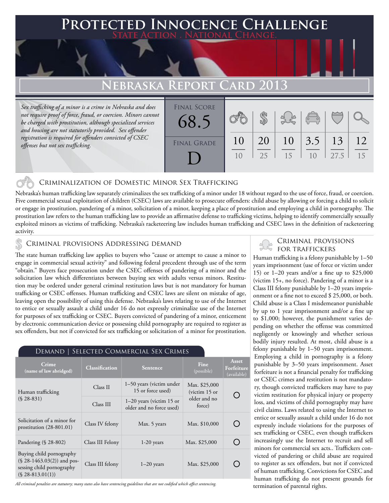## **Protected Innocence Challenge State Action . National Change.**

## **EBRASKA REPORT**

*Sex trafficking of a minor is a crime in Nebraska and does not require proof of force, fraud, or coercion. Minors cannot be charged with prostitution, although specialized services and housing are not statutorily provided. Sex offender registration is required for offenders convicted of CSEC offenses but not sex trafficking.*

| <b>FINAL SCORE</b> |    |    |    |                       |      |    |
|--------------------|----|----|----|-----------------------|------|----|
| 68.5               |    |    |    | $\sqrt{\frac{1}{10}}$ |      |    |
| <b>FINAL GRADE</b> | 10 | 20 | 10 | 3.5                   | 13   | 12 |
|                    | 10 | 25 | 15 | 1 <sub>0</sub>        | 27.5 | 15 |
|                    |    |    |    |                       |      |    |

### Criminalization of Domestic Minor Sex Trafficking

Nebraska's human trafficking law separately criminalizes the sex trafficking of a minor under 18 without regard to the use of force, fraud, or coercion. Five commercial sexual exploitation of children (CSEC) laws are available to prosecute offenders: child abuse by allowing or forcing a child to solicit or engage in prostitution, pandering of a minor, solicitation of a minor, keeping a place of prostitution and employing a child in pornography. The prostitution law refers to the human trafficking law to provide an affirmative defense to trafficking victims, helping to identify commercially sexually exploited minors as victims of trafficking. Nebraska's racketeering law includes human trafficking and CSEC laws in the definition of racketeering activity.

# CRIMINAL PROVISIONS ADDRESSING DEMAND **SECONDAL PROVISIONS**

The state human trafficking law applies to buyers who "cause or attempt to cause a minor to engage in commercial sexual activity" and following federal precedent through use of the term "obtain." Buyers face prosecution under the CSEC offenses of pandering of a minor and the solicitation law which differentiates between buying sex with adults versus minors. Restitution may be ordered under general criminal restitution laws but is not mandatory for human trafficking or CSEC offenses. Human trafficking and CSEC laws are silent on mistake of age, leaving open the possibility of using this defense. Nebraska's laws relating to use of the Internet to entice or sexually assault a child under 16 do not expressly criminalize use of the Internet for purposes of sex trafficking or CSEC. Buyers convicted of pandering of a minor, enticement by electronic communication device or possessing child pornography are required to register as sex offenders, but not if convicted for sex trafficking or solicitation of a minor for prostitution.

| SELECTED COMMERCIAL SEX CRIMES<br>DEMAND                                                                     |                       |                                                        |                                  |                                    |  |  |  |  |
|--------------------------------------------------------------------------------------------------------------|-----------------------|--------------------------------------------------------|----------------------------------|------------------------------------|--|--|--|--|
| Crime<br>(name of law abridged)                                                                              | <b>Classification</b> | Sentence                                               | Fine<br>(possible)               | Asset<br>Forfeiture<br>(available) |  |  |  |  |
| Human trafficking<br>$(S.28-831)$                                                                            | Class II              | 1-50 years (victim under<br>15 or force used)          | Max. \$25,000<br>(victim $15$ or |                                    |  |  |  |  |
|                                                                                                              | Class III             | $1-20$ years (victim 15 or<br>older and no force used) | older and no<br>force)           |                                    |  |  |  |  |
| Solicitation of a minor for<br>prostitution $(28-801.01)$                                                    | Class IV felony       | Max. 5 years                                           | Max. \$10,000                    |                                    |  |  |  |  |
| Pandering (§ 28-802)                                                                                         | Class III Felony      | $1-20$ years                                           | Max. \$25,000                    |                                    |  |  |  |  |
| Buying child pornography<br>$(\S$ 28-1463.03(2)) and pos-<br>sessing child pornography<br>$(S$ 28-813.01(1)) | Class III felony      | $1-20$ years                                           | Max. \$25,000                    |                                    |  |  |  |  |

*All criminal penalties are statutory; many states also have sentencing guidelines that are not codified which affect sentencing.* 

Human trafficking is a felony punishable by 1–50 years imprisonment (use of force or victim under 15) or 1–20 years and/or a fine up to \$25,000 (victim 15+, no force). Pandering of a minor is a Class III felony punishable by 1–20 years imprisonment or a fine not to exceed \$ 25,000, or both. Child abuse is a Class I misdemeanor punishable by up to 1 year imprisonment and/or a fine up to \$1,000; however, the punishment varies depending on whether the offense was committed negligently or knowingly and whether serious bodily injury resulted. At most, child abuse is a felony punishable by 1–50 years imprisonment. Employing a child in pornography is a felony punishable by 3–50 years imprisonment. Asset forfeiture is not a financial penalty for trafficking or CSEC crimes and restitution is not mandatory, though convicted traffickers may have to pay victim restitution for physical injury or property loss, and victims of child pornography may have civil claims. Laws related to using the Internet to entice or sexually assault a child under 16 do not expressly include violations for the purposes of sex trafficking or CSEC, even though traffickers increasingly use the Internet to recruit and sell minors for commercial sex acts.. Traffickers convicted of pandering or child abuse are required to register as sex offenders, but not if convicted of human trafficking. Convictions for CSEC and human trafficking do not present grounds for termination of parental rights.